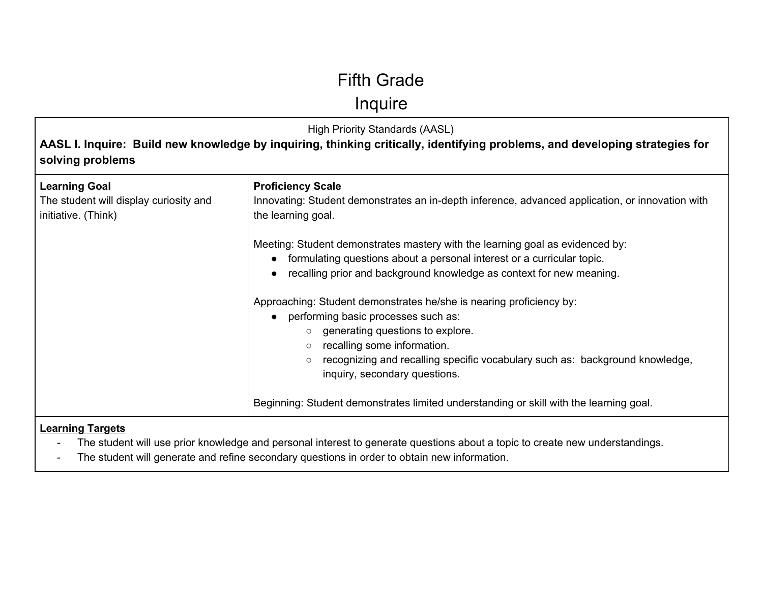## Fifth Grade

**Inquire** 

High Priority Standards (AASL) **AASL I. Inquire: Build new knowledge by inquiring, thinking critically, identifying problems, and developing strategies for solving problems Learning Goal** The student will display curiosity and initiative. (Think) **Proficiency Scale** Innovating: Student demonstrates an in-depth inference, advanced application, or innovation with the learning goal. Meeting: Student demonstrates mastery with the learning goal as evidenced by: ● formulating questions about a personal interest or a curricular topic. ● recalling prior and background knowledge as context for new meaning. Approaching: Student demonstrates he/she is nearing proficiency by: performing basic processes such as: ○ generating questions to explore. ○ recalling some information. ○ recognizing and recalling specific vocabulary such as: background knowledge, inquiry, secondary questions. Beginning: Student demonstrates limited understanding or skill with the learning goal.

- The student will use prior knowledge and personal interest to generate questions about a topic to create new understandings.
- The student will generate and refine secondary questions in order to obtain new information.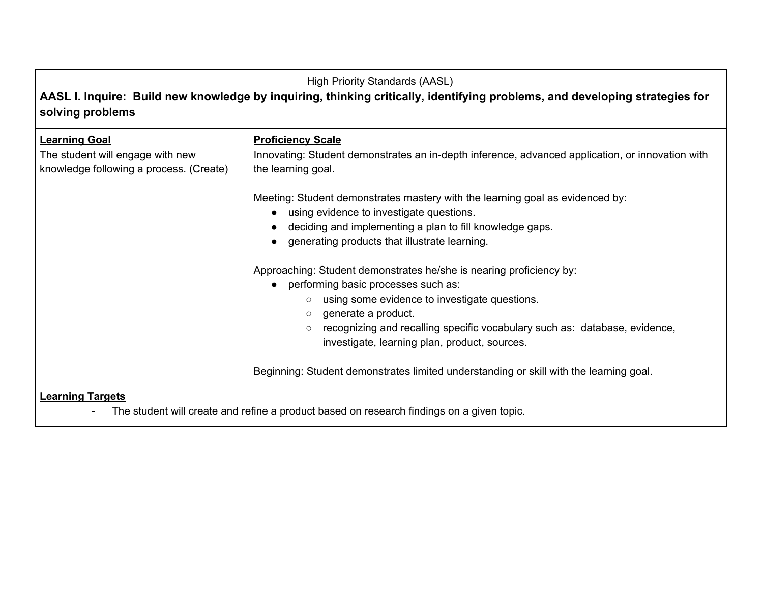## High Priority Standards (AASL) **AASL I. Inquire: Build new knowledge by inquiring, thinking critically, identifying problems, and developing strategies for solving problems**

| <b>Learning Goal</b><br>The student will engage with new<br>knowledge following a process. (Create) | <b>Proficiency Scale</b><br>Innovating: Student demonstrates an in-depth inference, advanced application, or innovation with<br>the learning goal.                                                                                                                                                                                                 |
|-----------------------------------------------------------------------------------------------------|----------------------------------------------------------------------------------------------------------------------------------------------------------------------------------------------------------------------------------------------------------------------------------------------------------------------------------------------------|
|                                                                                                     | Meeting: Student demonstrates mastery with the learning goal as evidenced by:<br>using evidence to investigate questions.<br>deciding and implementing a plan to fill knowledge gaps.<br>generating products that illustrate learning.                                                                                                             |
|                                                                                                     | Approaching: Student demonstrates he/she is nearing proficiency by:<br>performing basic processes such as:<br>using some evidence to investigate questions.<br>$\circ$<br>generate a product.<br>$\circ$<br>recognizing and recalling specific vocabulary such as: database, evidence,<br>$\circ$<br>investigate, learning plan, product, sources. |
|                                                                                                     | Beginning: Student demonstrates limited understanding or skill with the learning goal.                                                                                                                                                                                                                                                             |
| <b>Learning Targets</b>                                                                             |                                                                                                                                                                                                                                                                                                                                                    |

- The student will create and refine a product based on research findings on a given topic.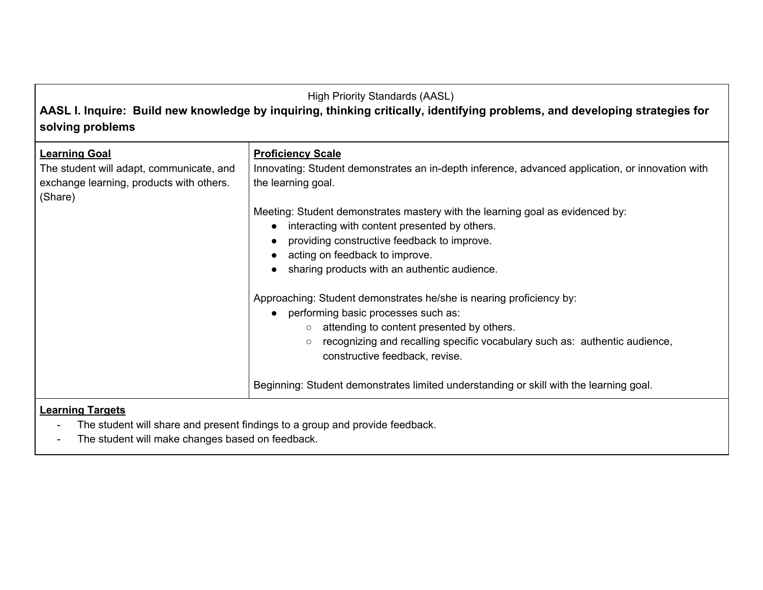**AASL I. Inquire: Build new knowledge by inquiring, thinking critically, identifying problems, and developing strategies for solving problems**

| <b>Learning Goal</b><br>The student will adapt, communicate, and<br>exchange learning, products with others.<br>(Share) | <b>Proficiency Scale</b><br>Innovating: Student demonstrates an in-depth inference, advanced application, or innovation with<br>the learning goal.                                                                                                                                         |
|-------------------------------------------------------------------------------------------------------------------------|--------------------------------------------------------------------------------------------------------------------------------------------------------------------------------------------------------------------------------------------------------------------------------------------|
|                                                                                                                         | Meeting: Student demonstrates mastery with the learning goal as evidenced by:                                                                                                                                                                                                              |
|                                                                                                                         | interacting with content presented by others.                                                                                                                                                                                                                                              |
|                                                                                                                         | providing constructive feedback to improve.                                                                                                                                                                                                                                                |
|                                                                                                                         | acting on feedback to improve.                                                                                                                                                                                                                                                             |
|                                                                                                                         | sharing products with an authentic audience.                                                                                                                                                                                                                                               |
|                                                                                                                         | Approaching: Student demonstrates he/she is nearing proficiency by:<br>performing basic processes such as:<br>$\circ$ attending to content presented by others.<br>recognizing and recalling specific vocabulary such as: authentic audience,<br>$\circ$<br>constructive feedback, revise. |
|                                                                                                                         | Beginning: Student demonstrates limited understanding or skill with the learning goal.                                                                                                                                                                                                     |
| Learning Targets                                                                                                        |                                                                                                                                                                                                                                                                                            |

- The student will share and present findings to a group and provide feedback.
- The student will make changes based on feedback.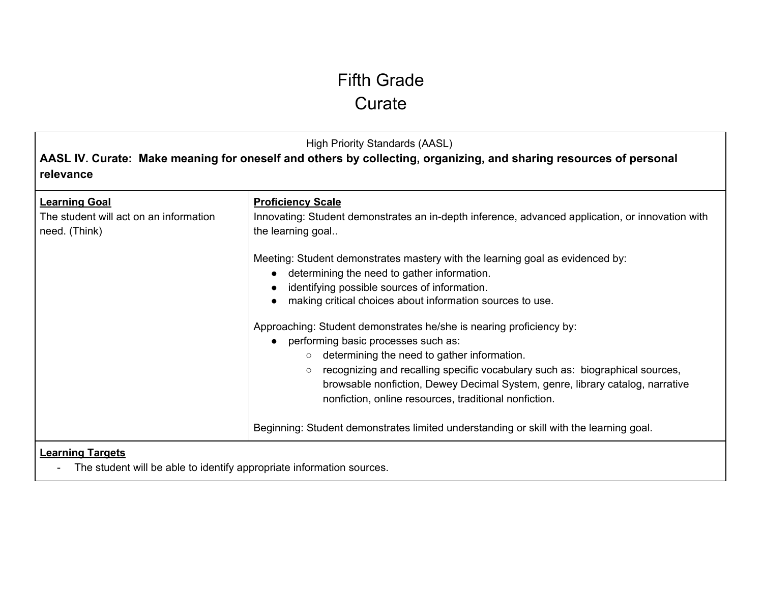## Fifth Grade **Curate**

High Priority Standards (AASL)

**AASL IV. Curate: Make meaning for oneself and others by collecting, organizing, and sharing resources of personal relevance**

| <b>Learning Goal</b><br>The student will act on an information<br>need. (Think)                 | <b>Proficiency Scale</b><br>Innovating: Student demonstrates an in-depth inference, advanced application, or innovation with<br>the learning goal                                                                                                                                                                                                                                                         |
|-------------------------------------------------------------------------------------------------|-----------------------------------------------------------------------------------------------------------------------------------------------------------------------------------------------------------------------------------------------------------------------------------------------------------------------------------------------------------------------------------------------------------|
|                                                                                                 | Meeting: Student demonstrates mastery with the learning goal as evidenced by:<br>determining the need to gather information.<br>identifying possible sources of information.<br>making critical choices about information sources to use.                                                                                                                                                                 |
|                                                                                                 | Approaching: Student demonstrates he/she is nearing proficiency by:<br>performing basic processes such as:<br>determining the need to gather information.<br>$\circ$<br>recognizing and recalling specific vocabulary such as: biographical sources,<br>$\circ$<br>browsable nonfiction, Dewey Decimal System, genre, library catalog, narrative<br>nonfiction, online resources, traditional nonfiction. |
|                                                                                                 | Beginning: Student demonstrates limited understanding or skill with the learning goal.                                                                                                                                                                                                                                                                                                                    |
| <b>Learning Targets</b><br>The student will be able to identify appropriate information sources |                                                                                                                                                                                                                                                                                                                                                                                                           |

- The student will be able to identify appropriate information sources.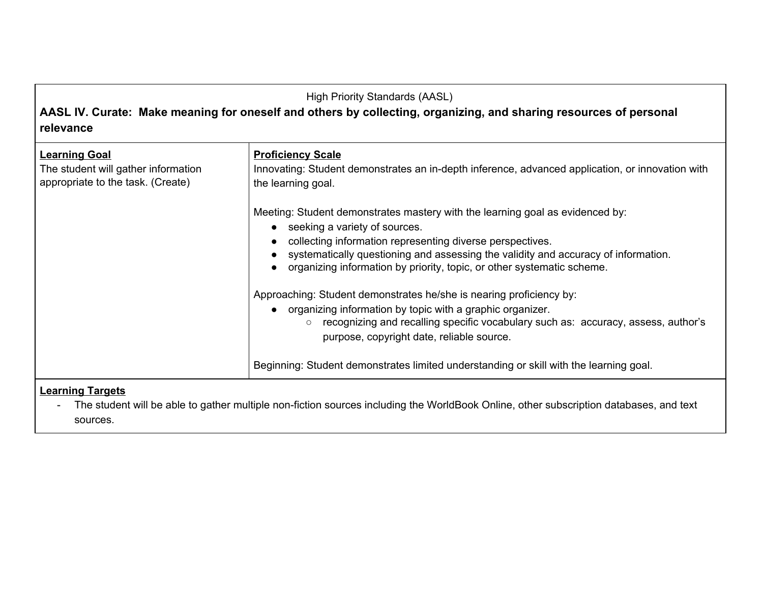**AASL IV. Curate: Make meaning for oneself and others by collecting, organizing, and sharing resources of personal relevance**

| <b>Learning Goal</b><br>The student will gather information<br>appropriate to the task. (Create)                                                                  | <b>Proficiency Scale</b><br>Innovating: Student demonstrates an in-depth inference, advanced application, or innovation with<br>the learning goal.                                                                                                                                                                                            |
|-------------------------------------------------------------------------------------------------------------------------------------------------------------------|-----------------------------------------------------------------------------------------------------------------------------------------------------------------------------------------------------------------------------------------------------------------------------------------------------------------------------------------------|
|                                                                                                                                                                   | Meeting: Student demonstrates mastery with the learning goal as evidenced by:<br>• seeking a variety of sources.<br>collecting information representing diverse perspectives.<br>systematically questioning and assessing the validity and accuracy of information.<br>organizing information by priority, topic, or other systematic scheme. |
|                                                                                                                                                                   | Approaching: Student demonstrates he/she is nearing proficiency by:<br>• organizing information by topic with a graphic organizer.<br>recognizing and recalling specific vocabulary such as: accuracy, assess, author's<br>$\circ$<br>purpose, copyright date, reliable source.                                                               |
|                                                                                                                                                                   | Beginning: Student demonstrates limited understanding or skill with the learning goal.                                                                                                                                                                                                                                                        |
| <b>Learning Targets</b><br>The student will be able to gather multiple non-fiction sources including the WorldBook Online, other subscription databases, and text |                                                                                                                                                                                                                                                                                                                                               |

- The student will be able to gather multiple non-fiction sources including the WorldBook Online, other subscription databases, and text sources.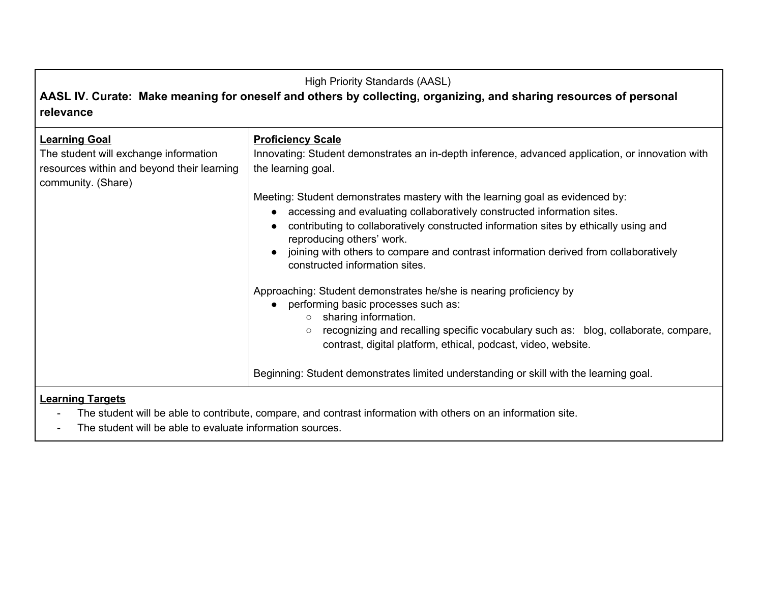### **AASL IV. Curate: Make meaning for oneself and others by collecting, organizing, and sharing resources of personal relevance**

| <b>Learning Goal</b><br>The student will exchange information<br>resources within and beyond their learning<br>community. (Share) | <b>Proficiency Scale</b><br>Innovating: Student demonstrates an in-depth inference, advanced application, or innovation with<br>the learning goal.<br>Meeting: Student demonstrates mastery with the learning goal as evidenced by:                                                                                    |
|-----------------------------------------------------------------------------------------------------------------------------------|------------------------------------------------------------------------------------------------------------------------------------------------------------------------------------------------------------------------------------------------------------------------------------------------------------------------|
|                                                                                                                                   | accessing and evaluating collaboratively constructed information sites.<br>contributing to collaboratively constructed information sites by ethically using and<br>reproducing others' work.<br>joining with others to compare and contrast information derived from collaboratively<br>constructed information sites. |
|                                                                                                                                   | Approaching: Student demonstrates he/she is nearing proficiency by<br>performing basic processes such as:<br>$\circ$ sharing information.<br>recognizing and recalling specific vocabulary such as: blog, collaborate, compare,<br>$\circ$<br>contrast, digital platform, ethical, podcast, video, website.            |
|                                                                                                                                   | Beginning: Student demonstrates limited understanding or skill with the learning goal.                                                                                                                                                                                                                                 |

- The student will be able to contribute, compare, and contrast information with others on an information site.
- The student will be able to evaluate information sources.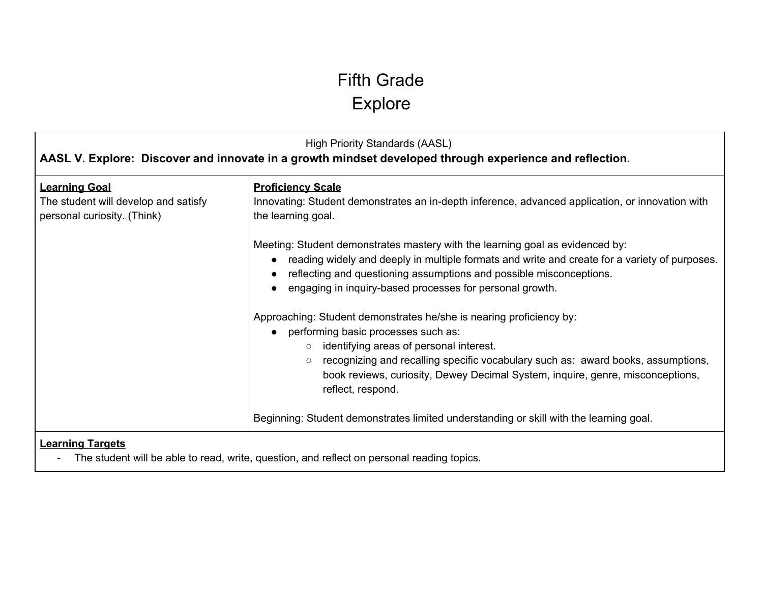# Fifth Grade Explore

| <b>High Priority Standards (AASL)</b><br>AASL V. Explore: Discover and innovate in a growth mindset developed through experience and reflection. |                                                                                                                                                                                                                                                                                                                                                                                                                                                                         |
|--------------------------------------------------------------------------------------------------------------------------------------------------|-------------------------------------------------------------------------------------------------------------------------------------------------------------------------------------------------------------------------------------------------------------------------------------------------------------------------------------------------------------------------------------------------------------------------------------------------------------------------|
| <b>Learning Goal</b><br>The student will develop and satisfy<br>personal curiosity. (Think)                                                      | <b>Proficiency Scale</b><br>Innovating: Student demonstrates an in-depth inference, advanced application, or innovation with<br>the learning goal.<br>Meeting: Student demonstrates mastery with the learning goal as evidenced by:<br>reading widely and deeply in multiple formats and write and create for a variety of purposes.<br>reflecting and questioning assumptions and possible misconceptions.<br>engaging in inquiry-based processes for personal growth. |
|                                                                                                                                                  | Approaching: Student demonstrates he/she is nearing proficiency by:<br>performing basic processes such as:<br>identifying areas of personal interest.<br>$\circ$<br>recognizing and recalling specific vocabulary such as: award books, assumptions,<br>$\circ$<br>book reviews, curiosity, Dewey Decimal System, inquire, genre, misconceptions,<br>reflect, respond.                                                                                                  |
|                                                                                                                                                  | Beginning: Student demonstrates limited understanding or skill with the learning goal.                                                                                                                                                                                                                                                                                                                                                                                  |
| <b>Learning Targets</b>                                                                                                                          |                                                                                                                                                                                                                                                                                                                                                                                                                                                                         |

- The student will be able to read, write, question, and reflect on personal reading topics.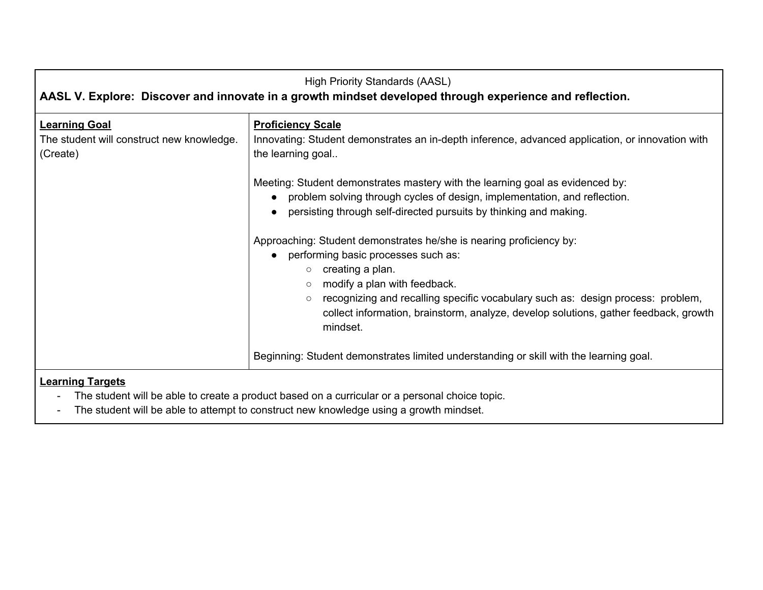| <b>High Priority Standards (AASL)</b><br>AASL V. Explore: Discover and innovate in a growth mindset developed through experience and reflection. |                                                                                                                                                                                                                                                                                                                                                                                                                                                                                                                                                                                                                                    |
|--------------------------------------------------------------------------------------------------------------------------------------------------|------------------------------------------------------------------------------------------------------------------------------------------------------------------------------------------------------------------------------------------------------------------------------------------------------------------------------------------------------------------------------------------------------------------------------------------------------------------------------------------------------------------------------------------------------------------------------------------------------------------------------------|
| <b>Learning Goal</b><br>The student will construct new knowledge.<br>(Create)                                                                    | <b>Proficiency Scale</b><br>Innovating: Student demonstrates an in-depth inference, advanced application, or innovation with<br>the learning goal<br>Meeting: Student demonstrates mastery with the learning goal as evidenced by:                                                                                                                                                                                                                                                                                                                                                                                                 |
|                                                                                                                                                  | problem solving through cycles of design, implementation, and reflection.<br>persisting through self-directed pursuits by thinking and making.<br>Approaching: Student demonstrates he/she is nearing proficiency by:<br>performing basic processes such as:<br>creating a plan.<br>$\circ$<br>modify a plan with feedback.<br>$\circ$<br>recognizing and recalling specific vocabulary such as: design process: problem,<br>$\circ$<br>collect information, brainstorm, analyze, develop solutions, gather feedback, growth<br>mindset.<br>Beginning: Student demonstrates limited understanding or skill with the learning goal. |
| Loarning Taracte                                                                                                                                 |                                                                                                                                                                                                                                                                                                                                                                                                                                                                                                                                                                                                                                    |

### **Learning Targets**

- The student will be able to create a product based on a curricular or a personal choice topic.

- The student will be able to attempt to construct new knowledge using a growth mindset.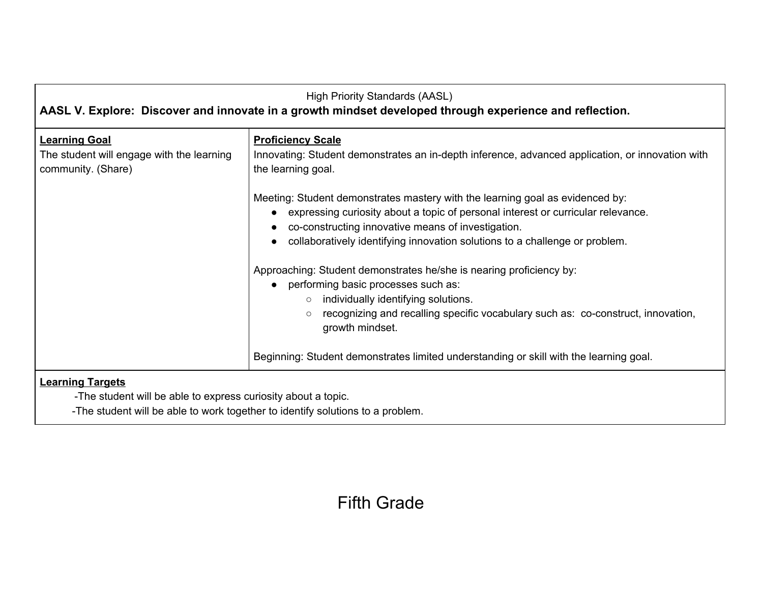| <b>High Priority Standards (AASL)</b><br>AASL V. Explore: Discover and innovate in a growth mindset developed through experience and reflection. |                                                                                                                                                                                                                                                                                                        |
|--------------------------------------------------------------------------------------------------------------------------------------------------|--------------------------------------------------------------------------------------------------------------------------------------------------------------------------------------------------------------------------------------------------------------------------------------------------------|
|                                                                                                                                                  |                                                                                                                                                                                                                                                                                                        |
| <b>Learning Goal</b><br>The student will engage with the learning<br>community. (Share)                                                          | <b>Proficiency Scale</b><br>Innovating: Student demonstrates an in-depth inference, advanced application, or innovation with<br>the learning goal.                                                                                                                                                     |
|                                                                                                                                                  | Meeting: Student demonstrates mastery with the learning goal as evidenced by:<br>expressing curiosity about a topic of personal interest or curricular relevance.<br>co-constructing innovative means of investigation.<br>collaboratively identifying innovation solutions to a challenge or problem. |
|                                                                                                                                                  | Approaching: Student demonstrates he/she is nearing proficiency by:<br>performing basic processes such as:<br>individually identifying solutions.<br>$\circ$<br>recognizing and recalling specific vocabulary such as: co-construct, innovation,<br>$\circ$<br>growth mindset.                         |
|                                                                                                                                                  | Beginning: Student demonstrates limited understanding or skill with the learning goal.                                                                                                                                                                                                                 |
| <b>Learning Targets</b><br>-The student will be able to express curiosity about a topic.                                                         |                                                                                                                                                                                                                                                                                                        |

-The student will be able to work together to identify solutions to a problem.

# Fifth Grade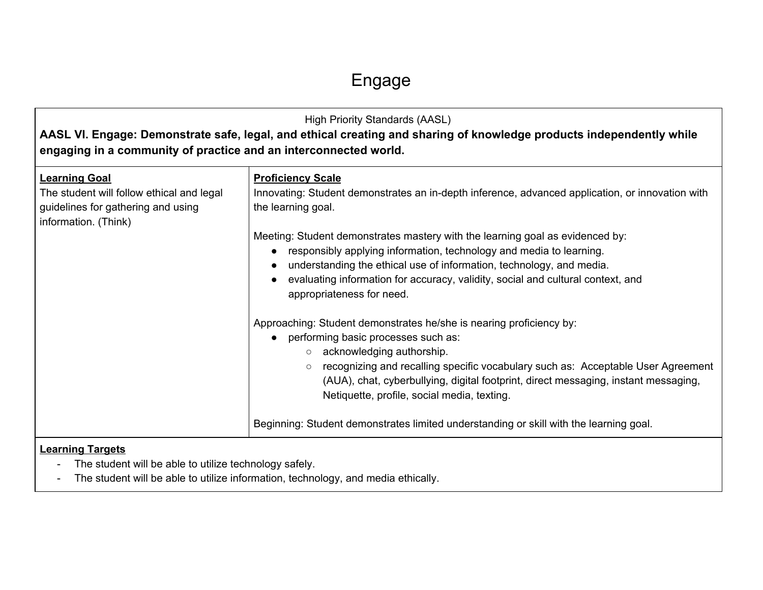# Engage

| <b>High Priority Standards (AASL)</b><br>AASL VI. Engage: Demonstrate safe, legal, and ethical creating and sharing of knowledge products independently while<br>engaging in a community of practice and an interconnected world. |                                                                                                                                                                                                                                                                                                                                                                                      |
|-----------------------------------------------------------------------------------------------------------------------------------------------------------------------------------------------------------------------------------|--------------------------------------------------------------------------------------------------------------------------------------------------------------------------------------------------------------------------------------------------------------------------------------------------------------------------------------------------------------------------------------|
| <b>Learning Goal</b><br>The student will follow ethical and legal<br>guidelines for gathering and using<br>information. (Think)                                                                                                   | <b>Proficiency Scale</b><br>Innovating: Student demonstrates an in-depth inference, advanced application, or innovation with<br>the learning goal.<br>Meeting: Student demonstrates mastery with the learning goal as evidenced by:<br>• responsibly applying information, technology and media to learning.<br>understanding the ethical use of information, technology, and media. |
|                                                                                                                                                                                                                                   | evaluating information for accuracy, validity, social and cultural context, and<br>appropriateness for need.                                                                                                                                                                                                                                                                         |
|                                                                                                                                                                                                                                   | Approaching: Student demonstrates he/she is nearing proficiency by:<br>• performing basic processes such as:<br>o acknowledging authorship.                                                                                                                                                                                                                                          |
|                                                                                                                                                                                                                                   | recognizing and recalling specific vocabulary such as: Acceptable User Agreement<br>$\circ$<br>(AUA), chat, cyberbullying, digital footprint, direct messaging, instant messaging,<br>Netiquette, profile, social media, texting.                                                                                                                                                    |
|                                                                                                                                                                                                                                   | Beginning: Student demonstrates limited understanding or skill with the learning goal.                                                                                                                                                                                                                                                                                               |
| <b>Learning Targets</b><br>The student will be able to utilize technology safely.                                                                                                                                                 |                                                                                                                                                                                                                                                                                                                                                                                      |

- The student will be able to utilize information, technology, and media ethically.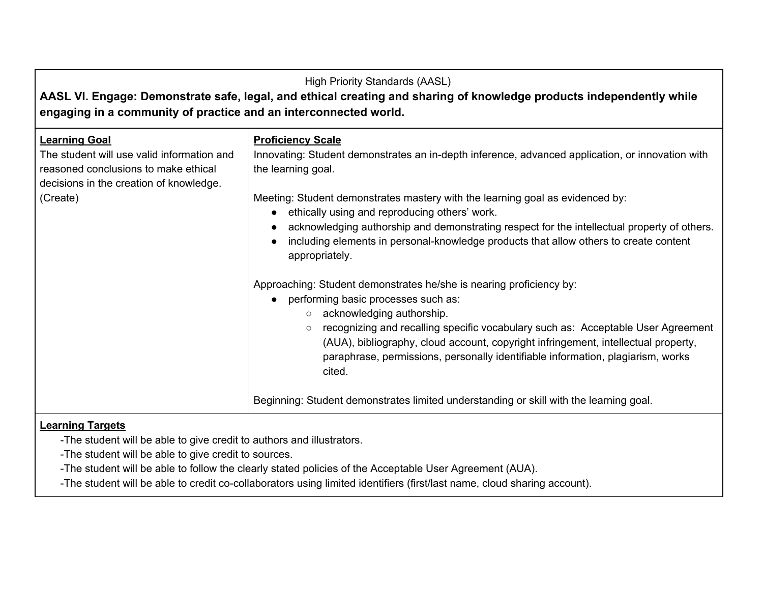| <b>High Priority Standards (AASL)</b><br>AASL VI. Engage: Demonstrate safe, legal, and ethical creating and sharing of knowledge products independently while<br>engaging in a community of practice and an interconnected world. |                                                                                                                                                                                                                                                                                                                                                                                                                                                                                                                                |
|-----------------------------------------------------------------------------------------------------------------------------------------------------------------------------------------------------------------------------------|--------------------------------------------------------------------------------------------------------------------------------------------------------------------------------------------------------------------------------------------------------------------------------------------------------------------------------------------------------------------------------------------------------------------------------------------------------------------------------------------------------------------------------|
| <b>Learning Goal</b><br>The student will use valid information and<br>reasoned conclusions to make ethical<br>decisions in the creation of knowledge.<br>(Create)                                                                 | <b>Proficiency Scale</b><br>Innovating: Student demonstrates an in-depth inference, advanced application, or innovation with<br>the learning goal.<br>Meeting: Student demonstrates mastery with the learning goal as evidenced by:<br>ethically using and reproducing others' work.<br>acknowledging authorship and demonstrating respect for the intellectual property of others.<br>including elements in personal-knowledge products that allow others to create content<br>appropriately.                                 |
|                                                                                                                                                                                                                                   | Approaching: Student demonstrates he/she is nearing proficiency by:<br>performing basic processes such as:<br>acknowledging authorship.<br>$\circ$<br>recognizing and recalling specific vocabulary such as: Acceptable User Agreement<br>$\circ$<br>(AUA), bibliography, cloud account, copyright infringement, intellectual property,<br>paraphrase, permissions, personally identifiable information, plagiarism, works<br>cited.<br>Beginning: Student demonstrates limited understanding or skill with the learning goal. |

### **Learning Targets**

-The student will be able to give credit to authors and illustrators.

-The student will be able to give credit to sources.

-The student will be able to follow the clearly stated policies of the Acceptable User Agreement (AUA).

-The student will be able to credit co-collaborators using limited identifiers (first/last name, cloud sharing account).